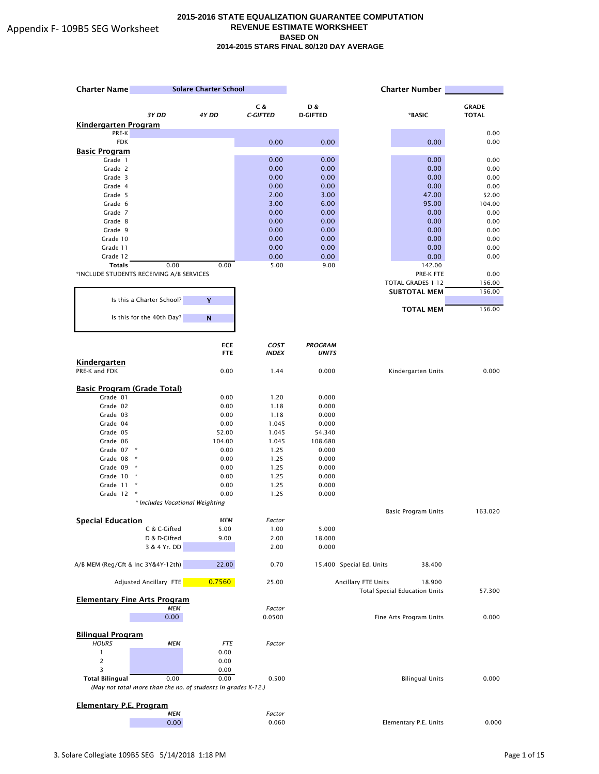| <b>Charter Name</b>                      | <b>Solare Charter School</b>                                  |                          | <b>Charter Number</b> |                                |                          |                                                |              |
|------------------------------------------|---------------------------------------------------------------|--------------------------|-----------------------|--------------------------------|--------------------------|------------------------------------------------|--------------|
|                                          |                                                               |                          | C &                   | D &                            |                          |                                                | <b>GRADE</b> |
|                                          | 3Y DD                                                         | 4Y DD                    | <b>C-GIFTED</b>       | <b>D-GIFTED</b>                |                          | *BASIC                                         | <b>TOTAL</b> |
| <b>Kindergarten Program</b>              |                                                               |                          |                       |                                |                          |                                                |              |
| PRE-K                                    |                                                               |                          |                       |                                |                          |                                                | 0.00         |
| <b>FDK</b>                               |                                                               |                          | 0.00                  | 0.00                           |                          | 0.00                                           | 0.00         |
| <b>Basic Program</b><br>Grade 1          |                                                               |                          | 0.00                  | 0.00                           |                          | 0.00                                           | 0.00         |
| Grade 2                                  |                                                               |                          | 0.00                  | 0.00                           |                          | 0.00                                           | 0.00         |
| Grade 3                                  |                                                               |                          | 0.00                  | 0.00                           |                          | 0.00                                           | 0.00         |
| Grade 4                                  |                                                               |                          | 0.00                  | 0.00                           |                          | 0.00                                           | 0.00         |
| Grade 5                                  |                                                               |                          | 2.00                  | 3.00                           |                          | 47.00                                          | 52.00        |
| Grade 6                                  |                                                               |                          | 3.00                  | 6.00                           |                          | 95.00                                          | 104.00       |
| Grade 7                                  |                                                               |                          | 0.00                  | 0.00                           |                          | 0.00                                           | 0.00         |
| Grade 8                                  |                                                               |                          | 0.00                  | 0.00                           |                          | 0.00                                           | 0.00         |
| Grade 9                                  |                                                               |                          | 0.00                  | 0.00                           |                          | 0.00                                           | 0.00         |
| Grade 10                                 |                                                               |                          | 0.00                  | 0.00                           |                          | 0.00                                           | 0.00         |
| Grade 11                                 |                                                               |                          | 0.00                  | 0.00                           |                          | 0.00                                           | 0.00         |
| Grade 12<br><b>Totals</b>                | 0.00                                                          | 0.00                     | 0.00<br>5.00          | 0.00<br>9.00                   |                          | 0.00<br>142.00                                 | 0.00         |
| *INCLUDE STUDENTS RECEIVING A/B SERVICES |                                                               |                          |                       |                                |                          | PRE-K FTE                                      | 0.00         |
|                                          |                                                               |                          |                       |                                |                          | TOTAL GRADES 1-12                              | 156.00       |
|                                          |                                                               |                          |                       |                                |                          | <b>SUBTOTAL MEM</b>                            | 156.00       |
|                                          | Is this a Charter School?                                     | Y                        |                       |                                |                          |                                                |              |
|                                          |                                                               |                          |                       |                                |                          | <b>TOTAL MEM</b>                               | 156.00       |
|                                          | Is this for the 40th Day?                                     | $\mathsf{N}$             |                       |                                |                          |                                                |              |
|                                          |                                                               |                          | <b>COST</b>           |                                |                          |                                                |              |
|                                          |                                                               | <b>ECE</b><br><b>FTE</b> | <b>INDEX</b>          | <b>PROGRAM</b><br><b>UNITS</b> |                          |                                                |              |
| <b>Kindergarten</b><br>PRE-K and FDK     |                                                               | 0.00                     | 1.44                  | 0.000                          |                          | Kindergarten Units                             | 0.000        |
|                                          |                                                               |                          |                       |                                |                          |                                                |              |
| <b>Basic Program (Grade Total)</b>       |                                                               |                          |                       |                                |                          |                                                |              |
| Grade 01                                 |                                                               | 0.00                     | 1.20                  | 0.000                          |                          |                                                |              |
| Grade 02                                 |                                                               | 0.00                     | 1.18                  | 0.000                          |                          |                                                |              |
| Grade 03                                 |                                                               | 0.00                     | 1.18                  | 0.000                          |                          |                                                |              |
| Grade 04                                 |                                                               | 0.00                     | 1.045                 | 0.000                          |                          |                                                |              |
| Grade 05                                 |                                                               | 52.00                    | 1.045                 | 54.340                         |                          |                                                |              |
| Grade 06<br>Grade 07 *                   |                                                               | 104.00<br>0.00           | 1.045<br>1.25         | 108.680<br>0.000               |                          |                                                |              |
| Grade 08                                 | $\star$                                                       | 0.00                     | 1.25                  | 0.000                          |                          |                                                |              |
| Grade 09 *                               |                                                               | 0.00                     | 1.25                  | 0.000                          |                          |                                                |              |
| Grade 10                                 |                                                               | 0.00                     | 1.25                  | 0.000                          |                          |                                                |              |
| Grade 11                                 | ×                                                             | 0.00                     | 1.25                  | 0.000                          |                          |                                                |              |
| Grade 12                                 |                                                               | 0.00                     | 1.25                  | 0.000                          |                          |                                                |              |
|                                          | * Includes Vocational Weighting                               |                          |                       |                                |                          |                                                |              |
|                                          |                                                               | <b>MEM</b>               |                       |                                |                          | <b>Basic Program Units</b>                     | 163.020      |
| <b>Special Education</b>                 | C & C-Gifted                                                  | 5.00                     | Factor<br>1.00        | 5.000                          |                          |                                                |              |
|                                          | D & D-Gifted                                                  | 9.00                     | 2.00                  | 18.000                         |                          |                                                |              |
|                                          | 3 & 4 Yr. DD                                                  |                          | 2.00                  | 0.000                          |                          |                                                |              |
|                                          |                                                               | 22.00                    |                       |                                | 15.400 Special Ed. Units |                                                |              |
| A/B MEM (Reg/Gft & Inc 3Y&4Y-12th)       |                                                               |                          | 0.70                  |                                |                          | 38.400                                         |              |
|                                          | Adjusted Ancillary FTE                                        | 0.7560                   | 25.00                 |                                | Ancillary FTE Units      | 18.900<br><b>Total Special Education Units</b> | 57.300       |
| <b>Elementary Fine Arts Program</b>      |                                                               |                          |                       |                                |                          |                                                |              |
|                                          | <b>MEM</b>                                                    |                          | Factor                |                                |                          | Fine Arts Program Units                        |              |
|                                          | 0.00                                                          |                          | 0.0500                |                                |                          |                                                | 0.000        |
| <b>Bilingual Program</b>                 |                                                               |                          |                       |                                |                          |                                                |              |
| <b>HOURS</b>                             | МЕМ                                                           | <b>FTE</b>               | Factor                |                                |                          |                                                |              |
| $\mathbf{1}$                             |                                                               | 0.00                     |                       |                                |                          |                                                |              |
| 2                                        |                                                               | 0.00                     |                       |                                |                          |                                                |              |
| 3                                        |                                                               | 0.00                     |                       |                                |                          |                                                |              |
| <b>Total Bilingual</b>                   | 0.00                                                          | 0.00                     | 0.500                 |                                |                          | <b>Bilingual Units</b>                         | 0.000        |
|                                          | (May not total more than the no. of students in grades K-12.) |                          |                       |                                |                          |                                                |              |
|                                          |                                                               |                          |                       |                                |                          |                                                |              |
| <b>Elementary P.E. Program</b>           | <b>MEM</b>                                                    |                          | Factor                |                                |                          |                                                |              |
|                                          | 0.00                                                          |                          | 0.060                 |                                |                          | Elementary P.E. Units                          | 0.000        |
|                                          |                                                               |                          |                       |                                |                          |                                                |              |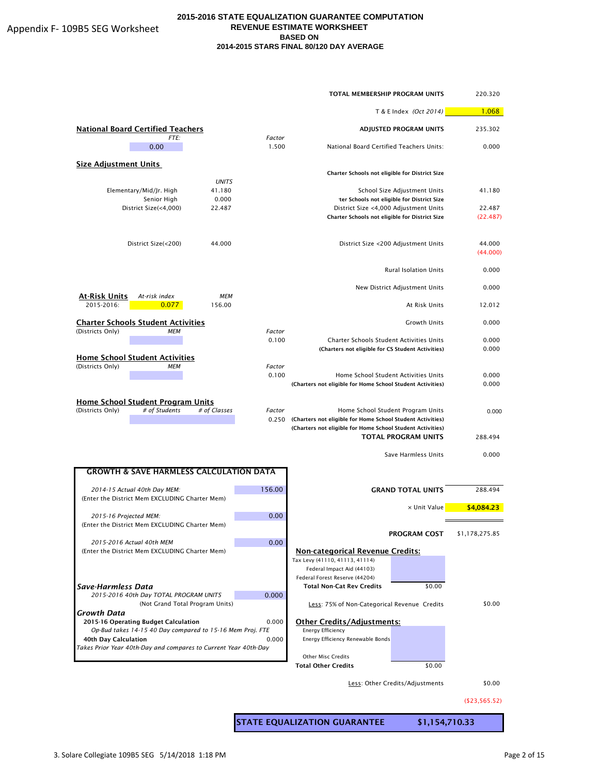|                                                                        |                 |                 | <b>TOTAL MEMBERSHIP PROGRAM UNITS</b>                        |                                            | 220.320            |
|------------------------------------------------------------------------|-----------------|-----------------|--------------------------------------------------------------|--------------------------------------------|--------------------|
|                                                                        |                 |                 |                                                              | T & E Index (Oct 2014)                     |                    |
| <b>National Board Certified Teachers</b><br>FTE:                       |                 | Factor          |                                                              | <b>ADJUSTED PROGRAM UNITS</b>              | 235.302            |
| 0.00                                                                   |                 | 1.500           | National Board Certified Teachers Units:                     |                                            | 0.000              |
| <b>Size Adjustment Units</b>                                           |                 |                 | Charter Schools not eligible for District Size               |                                            |                    |
|                                                                        | <b>UNITS</b>    |                 |                                                              |                                            |                    |
| Elementary/Mid/Jr. High                                                | 41.180          |                 |                                                              | School Size Adjustment Units               | 41.180             |
| Senior High<br>District Size(<4,000)                                   | 0.000<br>22.487 |                 | District Size <4,000 Adjustment Units                        | ter Schools not eligible for District Size | 22.487             |
|                                                                        |                 |                 | Charter Schools not eligible for District Size               |                                            | (22.487)           |
|                                                                        |                 |                 |                                                              |                                            |                    |
| District Size(<200)                                                    | 44.000          |                 |                                                              | District Size <200 Adjustment Units        | 44.000<br>(44.000) |
|                                                                        |                 |                 |                                                              | <b>Rural Isolation Units</b>               | 0.000              |
|                                                                        |                 |                 |                                                              | New District Adjustment Units              | 0.000              |
| At-Risk Units<br>At-risk index                                         | <b>MEM</b>      |                 |                                                              |                                            |                    |
| 2015-2016:<br>0.077                                                    | 156.00          |                 |                                                              | At Risk Units                              | 12.012             |
| <b>Charter Schools Student Activities</b>                              |                 |                 |                                                              | <b>Growth Units</b>                        | 0.000              |
| (Districts Only)<br><b>MEM</b>                                         |                 | Factor<br>0.100 | <b>Charter Schools Student Activities Units</b>              |                                            | 0.000              |
|                                                                        |                 |                 | (Charters not eligible for CS Student Activities)            |                                            | 0.000              |
| <b>Home School Student Activities</b>                                  |                 |                 |                                                              |                                            |                    |
| (Districts Only)<br>MEM                                                |                 | Factor<br>0.100 |                                                              |                                            |                    |
|                                                                        |                 |                 | (Charters not eligible for Home School Student Activities)   | Home School Student Activities Units       | 0.000<br>0.000     |
|                                                                        |                 |                 |                                                              |                                            |                    |
| Home School Student Program Units<br>(Districts Only)<br># of Students | # of Classes    | Factor          |                                                              |                                            |                    |
|                                                                        |                 | 0.250           | (Charters not eligible for Home School Student Activities)   | Home School Student Program Units          | 0.000              |
|                                                                        |                 |                 | (Charters not eligible for Home School Student Activities)   |                                            |                    |
|                                                                        |                 |                 |                                                              | <b>TOTAL PROGRAM UNITS</b>                 | 288.494            |
|                                                                        |                 |                 |                                                              | Save Harmless Units                        | 0.000              |
| <b>GROWTH &amp; SAVE HARMLESS CALCULATION DATA</b>                     |                 |                 |                                                              |                                            |                    |
| 2014-15 Actual 40th Day MEM:                                           |                 | 156.00          |                                                              | <b>GRAND TOTAL UNITS</b>                   | 288.494            |
| (Enter the District Mem EXCLUDING Charter Mem)                         |                 |                 |                                                              |                                            |                    |
| 2015-16 Projected MEM:                                                 |                 | 0.00            |                                                              | x Unit Value                               | \$4,084.23         |
| (Enter the District Mem EXCLUDING Charter Mem)                         |                 |                 |                                                              |                                            |                    |
| 2015-2016 Actual 40th MEM                                              |                 | 0.00            |                                                              | <b>PROGRAM COST</b>                        | \$1,178,275.85     |
| (Enter the District Mem EXCLUDING Charter Mem)                         |                 |                 | <b>Non-categorical Revenue Credits:</b>                      |                                            |                    |
|                                                                        |                 |                 | Tax Levy (41110, 41113, 41114)                               |                                            |                    |
|                                                                        |                 |                 | Federal Impact Aid (44103)<br>Federal Forest Reserve (44204) |                                            |                    |
| Save-Harmless Data                                                     |                 |                 | <b>Total Non-Cat Rev Credits</b>                             | \$0.00                                     |                    |
| 2015-2016 40th Day TOTAL PROGRAM UNITS                                 |                 | 0.000           |                                                              |                                            |                    |
| (Not Grand Total Program Units)                                        |                 |                 | Less: 75% of Non-Categorical Revenue Credits                 |                                            | \$0.00             |
| Growth Data<br>2015-16 Operating Budget Calculation                    |                 | 0.000           | <b>Other Credits/Adjustments:</b>                            |                                            |                    |
| Op-Bud takes 14-15 40 Day compared to 15-16 Mem Proj. FTE              |                 |                 | Energy Efficiency                                            |                                            |                    |
| 40th Day Calculation                                                   |                 | 0.000           | Energy Efficiency Renewable Bonds                            |                                            |                    |
| Takes Prior Year 40th-Day and compares to Current Year 40th-Day        |                 |                 | <b>Other Misc Credits</b>                                    |                                            |                    |
|                                                                        |                 |                 | <b>Total Other Credits</b>                                   | \$0.00                                     |                    |
|                                                                        |                 |                 |                                                              |                                            |                    |
|                                                                        |                 |                 |                                                              | Less: Other Credits/Adjustments            | \$0.00             |

STATE EQUALIZATION GUARANTEE \$1,154,710.33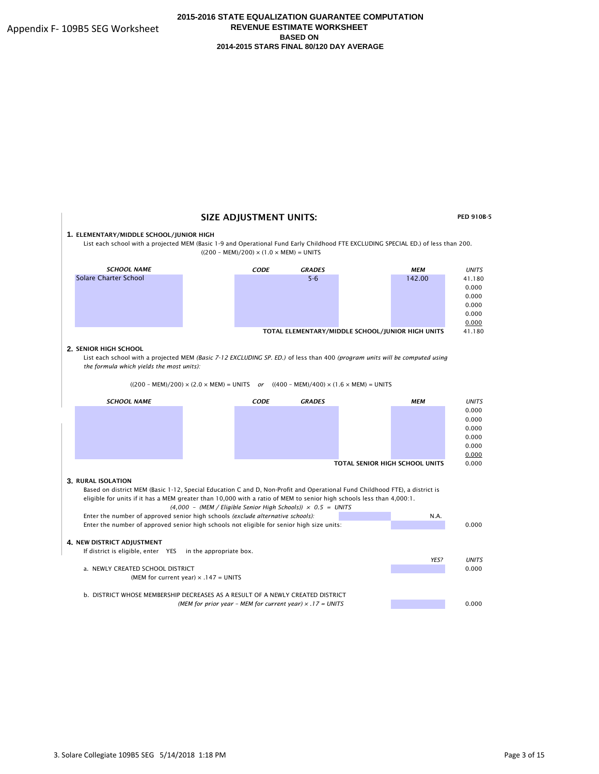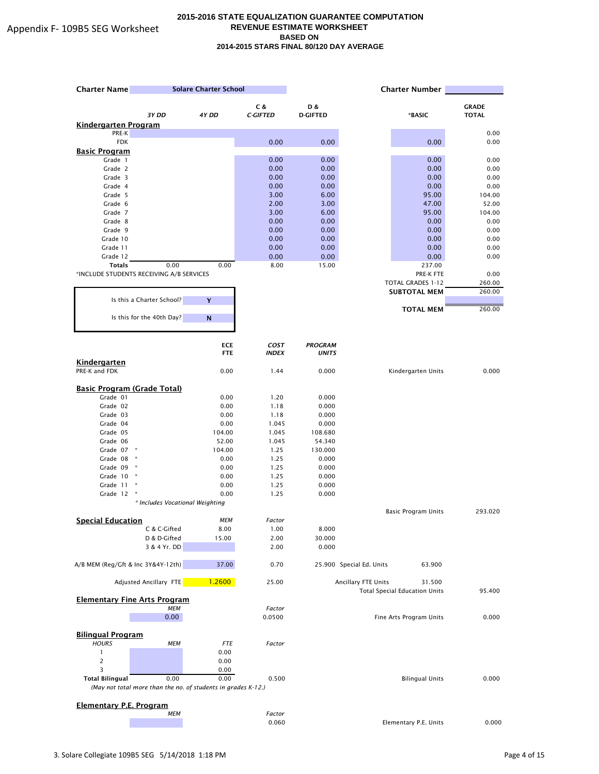| <b>Charter Name</b>                                           |                                 | <b>Solare Charter School</b> |                 |                   |                          | <b>Charter Number</b>                |              |
|---------------------------------------------------------------|---------------------------------|------------------------------|-----------------|-------------------|--------------------------|--------------------------------------|--------------|
|                                                               |                                 |                              | C &             | D &               |                          |                                      | <b>GRADE</b> |
|                                                               | 3Y DD                           | 4Y DD                        | <b>C-GIFTED</b> | <b>D-GIFTED</b>   |                          | *BASIC                               | <b>TOTAL</b> |
| <b>Kindergarten Program</b>                                   |                                 |                              |                 |                   |                          |                                      |              |
| PRE-K                                                         |                                 |                              |                 |                   |                          |                                      | 0.00         |
| <b>FDK</b><br><b>Basic Program</b>                            |                                 |                              | 0.00            | 0.00              |                          | 0.00                                 | 0.00         |
| Grade 1                                                       |                                 |                              | 0.00            | 0.00              |                          | 0.00                                 | 0.00         |
| Grade 2                                                       |                                 |                              | 0.00            | 0.00              |                          | 0.00                                 | 0.00         |
| Grade 3                                                       |                                 |                              | 0.00            | 0.00              |                          | 0.00                                 | 0.00         |
| Grade 4                                                       |                                 |                              | 0.00            | 0.00              |                          | 0.00                                 | 0.00         |
| Grade 5                                                       |                                 |                              | 3.00            | 6.00              |                          | 95.00                                | 104.00       |
| Grade 6                                                       |                                 |                              | 2.00            | 3.00              |                          | 47.00                                | 52.00        |
| Grade 7                                                       |                                 |                              | 3.00            | 6.00              |                          | 95.00                                | 104.00       |
| Grade 8<br>Grade 9                                            |                                 |                              | 0.00<br>0.00    | 0.00<br>0.00      |                          | 0.00<br>0.00                         | 0.00<br>0.00 |
| Grade 10                                                      |                                 |                              | 0.00            | 0.00              |                          | 0.00                                 | 0.00         |
| Grade 11                                                      |                                 |                              | 0.00            | 0.00              |                          | 0.00                                 | 0.00         |
| Grade 12                                                      |                                 |                              | 0.00            | 0.00              |                          | 0.00                                 | 0.00         |
| <b>Totals</b>                                                 | 0.00                            | 0.00                         | 8.00            | 15.00             |                          | 237.00                               |              |
| *INCLUDE STUDENTS RECEIVING A/B SERVICES                      |                                 |                              |                 |                   |                          | PRE-K FTE                            | 0.00         |
|                                                               |                                 |                              |                 |                   |                          | TOTAL GRADES 1-12                    | 260.00       |
|                                                               |                                 |                              |                 |                   |                          | <b>SUBTOTAL MEM</b>                  | 260.00       |
|                                                               | Is this a Charter School?       | Y                            |                 |                   |                          | <b>TOTAL MEM</b>                     | 260.00       |
|                                                               | Is this for the 40th Day?       | N                            |                 |                   |                          |                                      |              |
|                                                               |                                 | <b>ECE</b>                   | <b>COST</b>     | <b>PROGRAM</b>    |                          |                                      |              |
|                                                               |                                 | <b>FTE</b>                   | <b>INDEX</b>    | <b>UNITS</b>      |                          |                                      |              |
| <b>Kindergarten</b><br>PRE-K and FDK                          |                                 | 0.00                         | 1.44            | 0.000             |                          | Kindergarten Units                   | 0.000        |
| <b>Basic Program (Grade Total)</b>                            |                                 |                              |                 |                   |                          |                                      |              |
| Grade 01                                                      |                                 | 0.00                         | 1.20            | 0.000             |                          |                                      |              |
| Grade 02                                                      |                                 | 0.00                         | 1.18            | 0.000             |                          |                                      |              |
| Grade 03                                                      |                                 | 0.00                         | 1.18            | 0.000             |                          |                                      |              |
| Grade 04                                                      |                                 | 0.00                         | 1.045           | 0.000             |                          |                                      |              |
| Grade 05                                                      |                                 | 104.00                       | 1.045           | 108.680           |                          |                                      |              |
| Grade 06<br>Grade 07 *                                        |                                 | 52.00<br>104.00              | 1.045<br>1.25   | 54.340<br>130.000 |                          |                                      |              |
| Grade 08<br>×                                                 |                                 | 0.00                         | 1.25            | 0.000             |                          |                                      |              |
| Grade 09 *                                                    |                                 | 0.00                         | 1.25            | 0.000             |                          |                                      |              |
| Grade 10                                                      |                                 | 0.00                         | 1.25            | 0.000             |                          |                                      |              |
| Grade 11<br>×                                                 |                                 | 0.00                         | 1.25            | 0.000             |                          |                                      |              |
| Grade 12                                                      |                                 | 0.00                         | 1.25            | 0.000             |                          |                                      |              |
|                                                               | * Includes Vocational Weighting |                              |                 |                   |                          |                                      |              |
|                                                               |                                 | <b>MEM</b>                   |                 |                   |                          | Basic Program Units                  | 293.020      |
| <b>Special Education</b>                                      | C & C-Gifted                    | 8.00                         | Factor<br>1.00  | 8.000             |                          |                                      |              |
|                                                               | D & D-Gifted                    | 15.00                        | 2.00            | 30.000            |                          |                                      |              |
|                                                               | 3 & 4 Yr. DD                    |                              | 2.00            | 0.000             |                          |                                      |              |
| A/B MEM (Reg/Gft & Inc 3Y&4Y-12th)                            |                                 | 37.00                        | 0.70            |                   | 25.900 Special Ed. Units | 63.900                               |              |
|                                                               | Adjusted Ancillary FTE          | 1.2600                       | 25.00           |                   | Ancillary FTE Units      | 31.500                               |              |
| <b>Elementary Fine Arts Program</b>                           | <b>MEM</b>                      |                              | Factor          |                   |                          | <b>Total Special Education Units</b> | 95.400       |
|                                                               | 0.00                            |                              | 0.0500          |                   |                          | Fine Arts Program Units              | 0.000        |
|                                                               |                                 |                              |                 |                   |                          |                                      |              |
| <b>Bilingual Program</b>                                      |                                 |                              |                 |                   |                          |                                      |              |
| <b>HOURS</b>                                                  | <b>MEM</b>                      | <b>FTE</b>                   | Factor          |                   |                          |                                      |              |
| $\mathbf{1}$                                                  |                                 | 0.00                         |                 |                   |                          |                                      |              |
|                                                               |                                 | 0.00                         |                 |                   |                          |                                      |              |
| 3<br><b>Total Bilingual</b>                                   | 0.00                            | 0.00<br>0.00                 | 0.500           |                   |                          | <b>Bilingual Units</b>               | 0.000        |
| (May not total more than the no. of students in grades K-12.) |                                 |                              |                 |                   |                          |                                      |              |
|                                                               |                                 |                              |                 |                   |                          |                                      |              |
| <b>Elementary P.E. Program</b>                                |                                 |                              |                 |                   |                          |                                      |              |
|                                                               | <b>MEM</b>                      |                              | Factor          |                   |                          |                                      |              |
|                                                               |                                 |                              | 0.060           |                   |                          | Elementary P.E. Units                | 0.000        |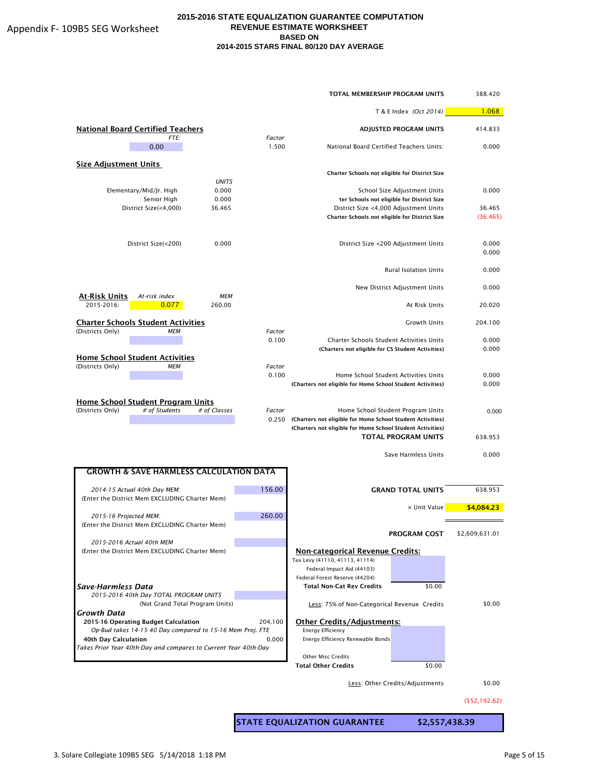|                                                                                |                 | TOTAL MEMBERSHIP PROGRAM UNITS                                                                                           |                                            | 388.420        |
|--------------------------------------------------------------------------------|-----------------|--------------------------------------------------------------------------------------------------------------------------|--------------------------------------------|----------------|
|                                                                                |                 |                                                                                                                          | T & E Index (Oct 2014)                     | 1.068          |
| <b>National Board Certified Teachers</b><br>FTE:                               | Factor          |                                                                                                                          | ADJUSTED PROGRAM UNITS                     | 414.833        |
| 0.00                                                                           | 1.500           | National Board Certified Teachers Units:                                                                                 |                                            | 0.000          |
| <b>Size Adjustment Units</b>                                                   |                 | Charter Schools not eligible for District Size                                                                           |                                            |                |
| <b>UNITS</b><br>0.000<br>Elementary/Mid/Jr. High                               |                 |                                                                                                                          | School Size Adjustment Units               | 0.000          |
| 0.000<br>Senior High                                                           |                 |                                                                                                                          | ter Schools not eligible for District Size |                |
| District Size(<4,000)<br>36.465                                                |                 | District Size <4,000 Adjustment Units                                                                                    |                                            | 36.465         |
|                                                                                |                 | Charter Schools not eligible for District Size                                                                           |                                            | (36.465)       |
| 0.000<br>District Size(<200)                                                   |                 |                                                                                                                          | District Size <200 Adjustment Units        | 0.000<br>0.000 |
|                                                                                |                 |                                                                                                                          | <b>Rural Isolation Units</b>               | 0.000          |
| <b>MEM</b><br>At-Risk Units<br>At-risk index                                   |                 |                                                                                                                          | New District Adjustment Units              | 0.000          |
| 2015-2016:<br>0.077<br>260.00                                                  |                 |                                                                                                                          | At Risk Units                              | 20.020         |
| <b>Charter Schools Student Activities</b><br>(Districts Only)<br><b>MEM</b>    | Factor          |                                                                                                                          | <b>Growth Units</b>                        | 204.100        |
|                                                                                | 0.100           | Charter Schools Student Activities Units                                                                                 |                                            | 0.000          |
| <b>Home School Student Activities</b>                                          |                 | (Charters not eligible for CS Student Activities)                                                                        |                                            | 0.000          |
| (Districts Only)<br><b>MEM</b>                                                 | Factor          |                                                                                                                          |                                            |                |
|                                                                                | 0.100           | Home School Student Activities Units<br>(Charters not eligible for Home School Student Activities)                       |                                            | 0.000<br>0.000 |
| <u>Home School Student Program Units</u>                                       |                 |                                                                                                                          |                                            |                |
| (Districts Only)<br># of Students<br># of Classes                              | Factor<br>0.250 | (Charters not eligible for Home School Student Activities)<br>(Charters not eligible for Home School Student Activities) | Home School Student Program Units          | 0.000          |
|                                                                                |                 |                                                                                                                          | <b>TOTAL PROGRAM UNITS</b>                 | 638.953        |
|                                                                                |                 |                                                                                                                          | Save Harmless Units                        | 0.000          |
| <b>GROWTH &amp; SAVE HARMLESS CALCULATION DATA</b>                             |                 |                                                                                                                          |                                            |                |
| 2014-15 Actual 40th Day MEM:<br>(Enter the District Mem EXCLUDING Charter Mem) | 156.00          |                                                                                                                          | <b>GRAND TOTAL UNITS</b>                   | 638.953        |
| 2015-16 Projected MEM:                                                         | 260.00          |                                                                                                                          | x Unit Value                               | \$4,084.23     |
| (Enter the District Mem EXCLUDING Charter Mem)                                 |                 |                                                                                                                          | <b>PROGRAM COST</b>                        | \$2,609,631.01 |
| 2015-2016 Actual 40th MEM                                                      |                 |                                                                                                                          |                                            |                |
| (Enter the District Mem EXCLUDING Charter Mem)                                 |                 | <b>Non-categorical Revenue Credits:</b><br>Tax Levy (41110, 41113, 41114)                                                |                                            |                |
|                                                                                |                 | Federal Impact Aid (44103)                                                                                               |                                            |                |
|                                                                                |                 | Federal Forest Reserve (44204)                                                                                           |                                            |                |
| Save-Harmless Data                                                             |                 | <b>Total Non-Cat Rev Credits</b>                                                                                         | \$0.00                                     |                |
| 2015-2016 40th Day TOTAL PROGRAM UNITS<br>(Not Grand Total Program Units)      |                 | Less: 75% of Non-Categorical Revenue Credits                                                                             |                                            | \$0.00         |
| Growth Data<br>2015-16 Operating Budget Calculation                            | 204.100         | <b>Other Credits/Adjustments:</b>                                                                                        |                                            |                |
| Op-Bud takes 14-15 40 Day compared to 15-16 Mem Proj. FTE                      |                 | <b>Energy Efficiency</b>                                                                                                 |                                            |                |
| 40th Day Calculation                                                           | 0.000           | Energy Efficiency Renewable Bonds                                                                                        |                                            |                |
| Takes Prior Year 40th-Day and compares to Current Year 40th-Day                |                 |                                                                                                                          |                                            |                |
|                                                                                |                 | <b>Other Misc Credits</b><br><b>Total Other Credits</b>                                                                  | \$0.00                                     |                |
|                                                                                |                 |                                                                                                                          |                                            |                |
|                                                                                |                 |                                                                                                                          | Less: Other Credits/Adjustments            | \$0.00         |

(\$52,192.62)

STATE EQUALIZATION GUARANTEE \$2,557,438.39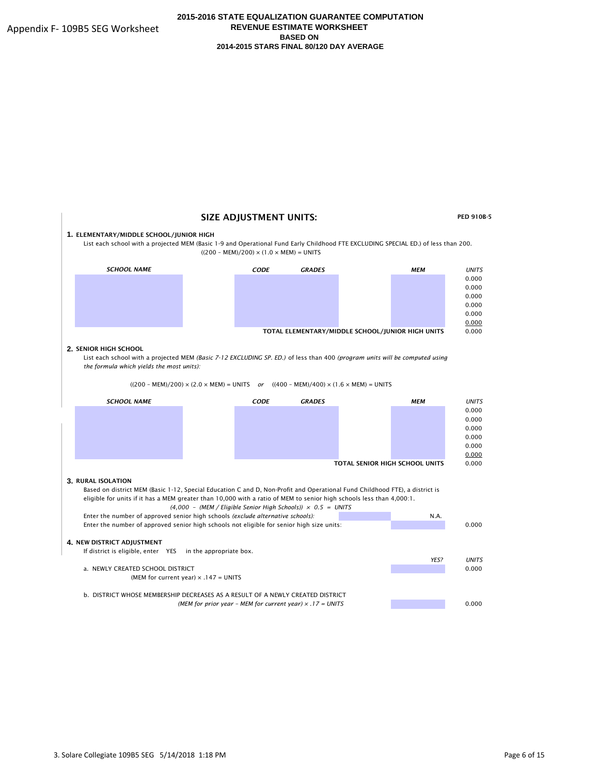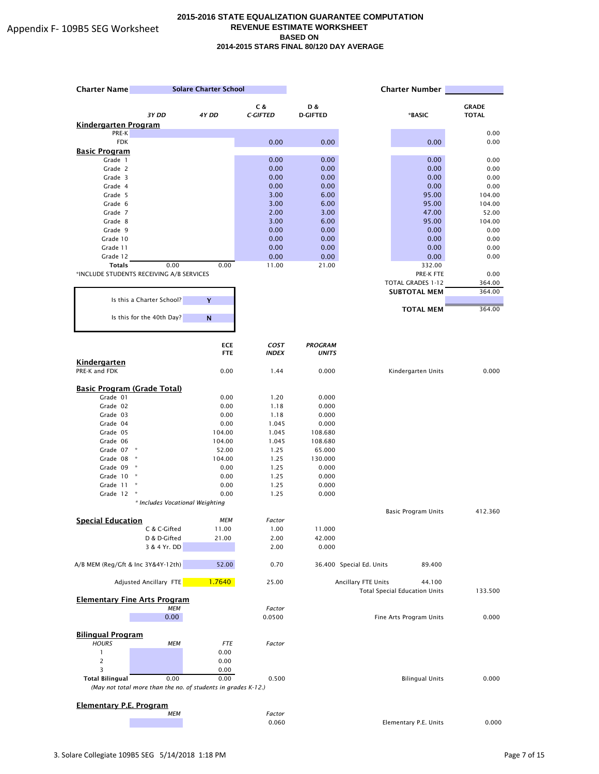| <b>Charter Name</b>                                           |                                 | <b>Solare Charter School</b> |                             |                                |                          | <b>Charter Number</b>                |              |
|---------------------------------------------------------------|---------------------------------|------------------------------|-----------------------------|--------------------------------|--------------------------|--------------------------------------|--------------|
|                                                               |                                 |                              | C &                         | D &                            |                          |                                      | <b>GRADE</b> |
|                                                               | 3Y DD                           | 4Y DD                        | <b>C-GIFTED</b>             | <b>D-GIFTED</b>                |                          | *BASIC                               | <b>TOTAL</b> |
| <b>Kindergarten Program</b>                                   |                                 |                              |                             |                                |                          |                                      |              |
| PRE-K                                                         |                                 |                              |                             |                                |                          |                                      | 0.00         |
| <b>FDK</b>                                                    |                                 |                              | 0.00                        | 0.00                           |                          | 0.00                                 | 0.00         |
| <b>Basic Program</b><br>Grade 1                               |                                 |                              | 0.00                        | 0.00                           |                          | 0.00                                 | 0.00         |
| Grade 2                                                       |                                 |                              | 0.00                        | 0.00                           |                          | 0.00                                 | 0.00         |
| Grade 3                                                       |                                 |                              | 0.00                        | 0.00                           |                          | 0.00                                 | 0.00         |
| Grade 4                                                       |                                 |                              | 0.00                        | 0.00                           |                          | 0.00                                 | 0.00         |
| Grade 5                                                       |                                 |                              | 3.00                        | 6.00                           |                          | 95.00                                | 104.00       |
| Grade 6                                                       |                                 |                              | 3.00                        | 6.00                           |                          | 95.00                                | 104.00       |
| Grade 7                                                       |                                 |                              | 2.00                        | 3.00                           |                          | 47.00                                | 52.00        |
| Grade 8                                                       |                                 |                              | 3.00                        | 6.00                           |                          | 95.00                                | 104.00       |
| Grade 9                                                       |                                 |                              | 0.00                        | 0.00                           |                          | 0.00                                 | 0.00         |
| Grade 10                                                      |                                 |                              | 0.00                        | 0.00                           |                          | 0.00                                 | 0.00         |
| Grade 11                                                      |                                 |                              | 0.00                        | 0.00                           |                          | 0.00                                 | 0.00         |
| Grade 12<br><b>Totals</b>                                     | 0.00                            | 0.00                         | 0.00<br>11.00               | 0.00<br>21.00                  |                          | 0.00<br>332.00                       | 0.00         |
| *INCLUDE STUDENTS RECEIVING A/B SERVICES                      |                                 |                              |                             |                                |                          | PRE-K FTE                            | 0.00         |
|                                                               |                                 |                              |                             |                                |                          | TOTAL GRADES 1-12                    | 364.00       |
|                                                               |                                 |                              |                             |                                |                          | <b>SUBTOTAL MEM</b>                  | 364.00       |
|                                                               | Is this a Charter School?       | Y                            |                             |                                |                          |                                      |              |
|                                                               |                                 |                              |                             |                                |                          | <b>TOTAL MEM</b>                     | 364.00       |
|                                                               | Is this for the 40th Day?       | N                            |                             |                                |                          |                                      |              |
|                                                               |                                 |                              |                             |                                |                          |                                      |              |
|                                                               |                                 | <b>ECE</b><br><b>FTE</b>     | <b>COST</b><br><b>INDEX</b> | <b>PROGRAM</b><br><b>UNITS</b> |                          |                                      |              |
| Kindergarten<br>PRE-K and FDK                                 |                                 | 0.00                         | 1.44                        | 0.000                          |                          | Kindergarten Units                   | 0.000        |
|                                                               |                                 |                              |                             |                                |                          |                                      |              |
| <b>Basic Program (Grade Total)</b>                            |                                 |                              |                             |                                |                          |                                      |              |
| Grade 01                                                      |                                 | 0.00                         | 1.20                        | 0.000                          |                          |                                      |              |
| Grade 02                                                      |                                 | 0.00                         | 1.18                        | 0.000                          |                          |                                      |              |
| Grade 03                                                      |                                 | 0.00                         | 1.18                        | 0.000                          |                          |                                      |              |
| Grade 04                                                      |                                 | 0.00                         | 1.045                       | 0.000                          |                          |                                      |              |
| Grade 05                                                      |                                 | 104.00                       | 1.045                       | 108.680                        |                          |                                      |              |
| Grade 06                                                      |                                 | 104.00                       | 1.045                       | 108.680                        |                          |                                      |              |
| Grade 07 *<br>Grade 08<br>×                                   |                                 | 52.00<br>104.00              | 1.25<br>1.25                | 65.000<br>130.000              |                          |                                      |              |
| Grade 09 *                                                    |                                 | 0.00                         | 1.25                        | 0.000                          |                          |                                      |              |
| Grade 10                                                      |                                 | 0.00                         | 1.25                        | 0.000                          |                          |                                      |              |
| Grade 11<br>×                                                 |                                 | 0.00                         | 1.25                        | 0.000                          |                          |                                      |              |
| Grade 12                                                      |                                 | 0.00                         | 1.25                        | 0.000                          |                          |                                      |              |
|                                                               | * Includes Vocational Weighting |                              |                             |                                |                          |                                      |              |
|                                                               |                                 |                              |                             |                                |                          | Basic Program Units                  | 412.360      |
| <b>Special Education</b>                                      |                                 | <b>MEM</b>                   | Factor                      |                                |                          |                                      |              |
|                                                               | C & C-Gifted                    | 11.00                        | 1.00                        | 11.000                         |                          |                                      |              |
|                                                               | D & D-Gifted<br>3 & 4 Yr. DD    | 21.00                        | 2.00<br>2.00                | 42.000<br>0.000                |                          |                                      |              |
|                                                               |                                 |                              |                             |                                |                          |                                      |              |
| A/B MEM (Reg/Gft & Inc 3Y&4Y-12th)                            |                                 | 52.00                        | 0.70                        |                                | 36.400 Special Ed. Units | 89.400                               |              |
|                                                               | Adjusted Ancillary FTE          | 1.7640                       | 25.00                       |                                | Ancillary FTE Units      | 44.100                               |              |
| <b>Elementary Fine Arts Program</b>                           |                                 |                              |                             |                                |                          | <b>Total Special Education Units</b> | 133.500      |
|                                                               | <b>MEM</b>                      |                              | Factor                      |                                |                          |                                      |              |
|                                                               | 0.00                            |                              | 0.0500                      |                                |                          | Fine Arts Program Units              | 0.000        |
| <b>Bilingual Program</b>                                      |                                 |                              |                             |                                |                          |                                      |              |
| <b>HOURS</b>                                                  | <b>MEM</b>                      | <b>FTE</b>                   | Factor                      |                                |                          |                                      |              |
| $\mathbf{1}$                                                  |                                 | 0.00                         |                             |                                |                          |                                      |              |
|                                                               |                                 | 0.00                         |                             |                                |                          |                                      |              |
| 3                                                             |                                 | 0.00                         |                             |                                |                          |                                      |              |
| <b>Total Bilingual</b>                                        | 0.00                            | 0.00                         | 0.500                       |                                |                          | <b>Bilingual Units</b>               | 0.000        |
| (May not total more than the no. of students in grades K-12.) |                                 |                              |                             |                                |                          |                                      |              |
|                                                               |                                 |                              |                             |                                |                          |                                      |              |
| <b>Elementary P.E. Program</b>                                |                                 |                              |                             |                                |                          |                                      |              |
|                                                               | <b>MEM</b>                      |                              | Factor                      |                                |                          |                                      |              |
|                                                               |                                 |                              | 0.060                       |                                |                          | Elementary P.E. Units                | 0.000        |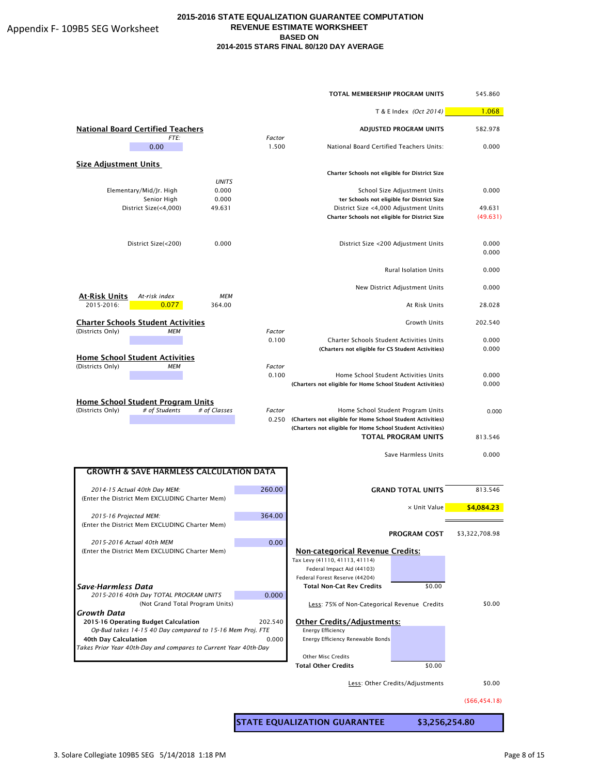|                                                                                        |                 | <b>TOTAL MEMBERSHIP PROGRAM UNITS</b>                                                                                    |                                            | 545.860        |
|----------------------------------------------------------------------------------------|-----------------|--------------------------------------------------------------------------------------------------------------------------|--------------------------------------------|----------------|
|                                                                                        |                 |                                                                                                                          | T & E Index (Oct 2014)                     |                |
| <b>National Board Certified Teachers</b><br>FTE:                                       | Factor          |                                                                                                                          | <b>ADJUSTED PROGRAM UNITS</b>              | 582.978        |
| 0.00                                                                                   | 1.500           | National Board Certified Teachers Units:                                                                                 |                                            | 0.000          |
| <b>Size Adjustment Units</b>                                                           |                 | Charter Schools not eligible for District Size                                                                           |                                            |                |
| <b>UNITS</b>                                                                           |                 |                                                                                                                          |                                            |                |
| 0.000<br>Elementary/Mid/Jr. High                                                       |                 |                                                                                                                          | School Size Adjustment Units               | 0.000          |
| Senior High<br>0.000<br>District Size(<4,000)<br>49.631                                |                 | District Size <4,000 Adjustment Units                                                                                    | ter Schools not eligible for District Size | 49.631         |
|                                                                                        |                 | Charter Schools not eligible for District Size                                                                           |                                            | (49.631)       |
| District Size(<200)<br>0.000                                                           |                 |                                                                                                                          | District Size <200 Adjustment Units        | 0.000<br>0.000 |
|                                                                                        |                 |                                                                                                                          | <b>Rural Isolation Units</b>               | 0.000          |
| At-Risk Units<br>At-risk index<br><b>MEM</b>                                           |                 |                                                                                                                          | New District Adjustment Units              | 0.000          |
| 2015-2016:<br>0.077<br>364.00                                                          |                 |                                                                                                                          | At Risk Units                              | 28.028         |
| <b>Charter Schools Student Activities</b>                                              |                 |                                                                                                                          | <b>Growth Units</b>                        | 202.540        |
| (Districts Only)<br><b>MEM</b>                                                         | Factor<br>0.100 | <b>Charter Schools Student Activities Units</b>                                                                          |                                            | 0.000          |
|                                                                                        |                 | (Charters not eligible for CS Student Activities)                                                                        |                                            | 0.000          |
| <b>Home School Student Activities</b><br><b>MEM</b>                                    | Factor          |                                                                                                                          |                                            |                |
| (Districts Only)                                                                       | 0.100           | Home School Student Activities Units                                                                                     |                                            | 0.000          |
|                                                                                        |                 | (Charters not eligible for Home School Student Activities)                                                               |                                            | 0.000          |
| Home School Student Program Units<br>(Districts Only)<br># of Students<br># of Classes | Factor<br>0.250 | (Charters not eligible for Home School Student Activities)<br>(Charters not eligible for Home School Student Activities) | Home School Student Program Units          | 0.000          |
|                                                                                        |                 |                                                                                                                          | <b>TOTAL PROGRAM UNITS</b>                 | 813.546        |
|                                                                                        |                 |                                                                                                                          | Save Harmless Units                        | 0.000          |
| <b>GROWTH &amp; SAVE HARMLESS CALCULATION DATA</b>                                     |                 |                                                                                                                          |                                            |                |
| 2014-15 Actual 40th Day MEM:<br>(Enter the District Mem EXCLUDING Charter Mem)         | 260.00          |                                                                                                                          | <b>GRAND TOTAL UNITS</b>                   | 813.546        |
| 2015-16 Projected MEM:                                                                 | 364.00          |                                                                                                                          | x Unit Value                               | \$4,084.23     |
| (Enter the District Mem EXCLUDING Charter Mem)                                         |                 |                                                                                                                          |                                            |                |
| 2015-2016 Actual 40th MEM                                                              | 0.00            |                                                                                                                          | PROGRAM COST                               | \$3,322,708.98 |
| (Enter the District Mem EXCLUDING Charter Mem)                                         |                 | <b>Non-categorical Revenue Credits:</b>                                                                                  |                                            |                |
|                                                                                        |                 | Tax Levy (41110, 41113, 41114)                                                                                           |                                            |                |
|                                                                                        |                 | Federal Impact Aid (44103)<br>Federal Forest Reserve (44204)                                                             |                                            |                |
| Save-Harmless Data                                                                     |                 | <b>Total Non-Cat Rev Credits</b>                                                                                         | \$0.00                                     |                |
| 2015-2016 40th Day TOTAL PROGRAM UNITS                                                 | 0.000           |                                                                                                                          |                                            | \$0.00         |
| (Not Grand Total Program Units)<br>Growth Data                                         |                 | Less: 75% of Non-Categorical Revenue Credits                                                                             |                                            |                |
| 2015-16 Operating Budget Calculation                                                   | 202.540         | <b>Other Credits/Adjustments:</b>                                                                                        |                                            |                |
| Op-Bud takes 14-15 40 Day compared to 15-16 Mem Proj. FTE<br>40th Day Calculation      | 0.000           | Energy Efficiency<br>Energy Efficiency Renewable Bonds                                                                   |                                            |                |
| Takes Prior Year 40th-Day and compares to Current Year 40th-Day                        |                 |                                                                                                                          |                                            |                |
|                                                                                        |                 | <b>Other Misc Credits</b>                                                                                                |                                            |                |
|                                                                                        |                 | <b>Total Other Credits</b>                                                                                               | \$0.00                                     |                |
|                                                                                        |                 |                                                                                                                          | Less: Other Credits/Adjustments            | \$0.00         |

#### (\$66,454.18)

STATE EQUALIZATION GUARANTEE \$3,256,254.80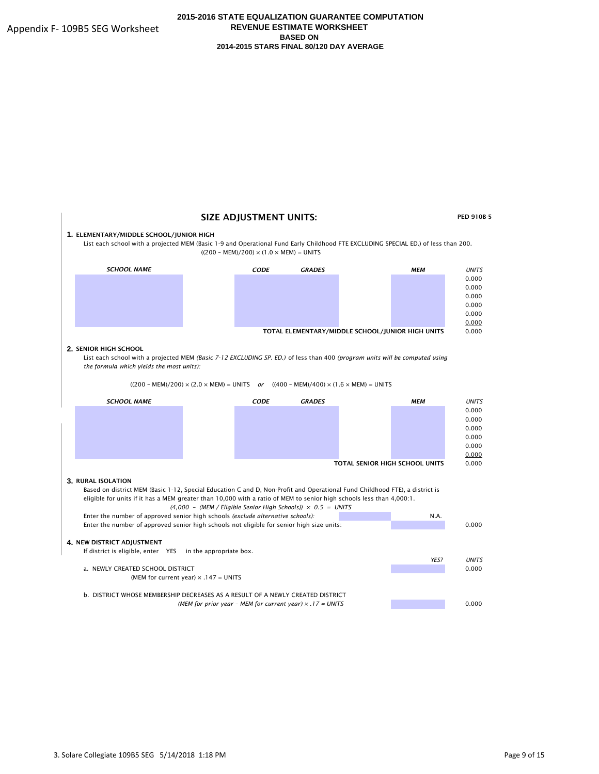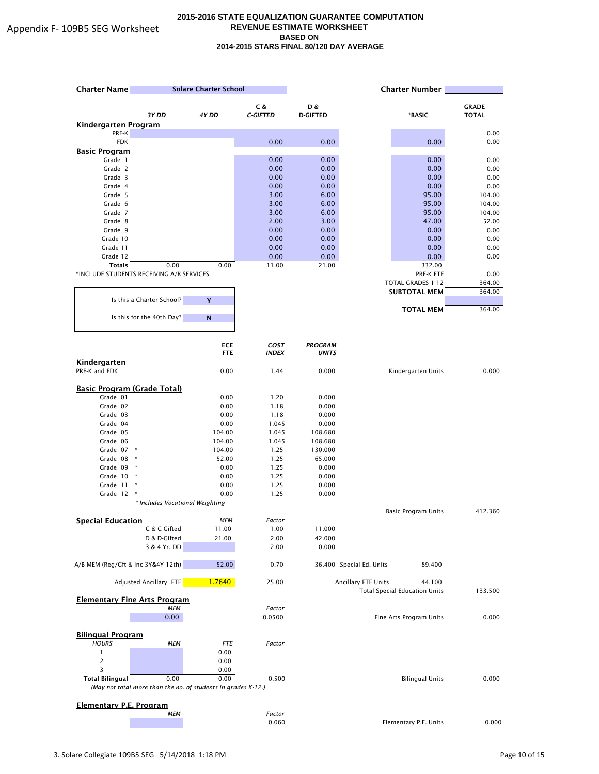| <b>Charter Name</b>                                           | <b>Solare Charter School</b>    |                          |                             |                                |                          |                                      |              |
|---------------------------------------------------------------|---------------------------------|--------------------------|-----------------------------|--------------------------------|--------------------------|--------------------------------------|--------------|
|                                                               |                                 |                          | C &                         | D &                            |                          |                                      | <b>GRADE</b> |
|                                                               | 3Y DD                           | 4Y DD                    | <b>C-GIFTED</b>             | <b>D-GIFTED</b>                |                          | *BASIC                               | <b>TOTAL</b> |
| <b>Kindergarten Program</b>                                   |                                 |                          |                             |                                |                          |                                      |              |
| PRE-K                                                         |                                 |                          |                             |                                |                          |                                      | 0.00         |
| <b>FDK</b>                                                    |                                 |                          | 0.00                        | 0.00                           |                          | 0.00                                 | 0.00         |
| <b>Basic Program</b><br>Grade 1                               |                                 |                          | 0.00                        | 0.00                           |                          | 0.00                                 | 0.00         |
| Grade 2                                                       |                                 |                          | 0.00                        | 0.00                           |                          | 0.00                                 | 0.00         |
| Grade 3                                                       |                                 |                          | 0.00                        | 0.00                           |                          | 0.00                                 | 0.00         |
| Grade 4                                                       |                                 |                          | 0.00                        | 0.00                           |                          | 0.00                                 | 0.00         |
| Grade 5                                                       |                                 |                          | 3.00                        | 6.00                           |                          | 95.00                                | 104.00       |
| Grade 6                                                       |                                 |                          | 3.00                        | 6.00                           |                          | 95.00                                | 104.00       |
| Grade 7                                                       |                                 |                          | 3.00                        | 6.00                           |                          | 95.00                                | 104.00       |
| Grade 8                                                       |                                 |                          | 2.00                        | 3.00                           |                          | 47.00                                | 52.00        |
| Grade 9<br>Grade 10                                           |                                 |                          | 0.00<br>0.00                | 0.00<br>0.00                   |                          | 0.00<br>0.00                         | 0.00<br>0.00 |
| Grade 11                                                      |                                 |                          | 0.00                        | 0.00                           |                          | 0.00                                 | 0.00         |
| Grade 12                                                      |                                 |                          | 0.00                        | 0.00                           |                          | 0.00                                 | 0.00         |
| <b>Totals</b>                                                 | 0.00                            | 0.00                     | 11.00                       | 21.00                          |                          | 332.00                               |              |
| *INCLUDE STUDENTS RECEIVING A/B SERVICES                      |                                 |                          |                             |                                |                          | PRE-K FTE                            | 0.00         |
|                                                               |                                 |                          |                             |                                |                          | TOTAL GRADES 1-12                    | 364.00       |
|                                                               |                                 |                          |                             |                                |                          | <b>SUBTOTAL MEM</b>                  | 364.00       |
| Is this a Charter School?                                     |                                 | Y                        |                             |                                |                          |                                      |              |
| Is this for the 40th Day?                                     |                                 | N                        |                             |                                |                          | <b>TOTAL MEM</b>                     | 364.00       |
|                                                               |                                 |                          |                             |                                |                          |                                      |              |
| Kindergarten                                                  |                                 | <b>ECE</b><br><b>FTE</b> | <b>COST</b><br><b>INDEX</b> | <b>PROGRAM</b><br><b>UNITS</b> |                          |                                      |              |
| PRE-K and FDK                                                 |                                 | 0.00                     | 1.44                        | 0.000                          |                          | Kindergarten Units                   | 0.000        |
| <b>Basic Program (Grade Total)</b>                            |                                 |                          |                             |                                |                          |                                      |              |
| Grade 01                                                      |                                 | 0.00                     | 1.20                        | 0.000                          |                          |                                      |              |
| Grade 02                                                      |                                 | 0.00                     | 1.18                        | 0.000                          |                          |                                      |              |
| Grade 03                                                      |                                 | 0.00                     | 1.18                        | 0.000                          |                          |                                      |              |
| Grade 04                                                      |                                 | 0.00                     | 1.045                       | 0.000                          |                          |                                      |              |
| Grade 05                                                      |                                 | 104.00                   | 1.045                       | 108.680                        |                          |                                      |              |
| Grade 06<br>Grade 07 *                                        |                                 | 104.00<br>104.00         | 1.045<br>1.25               | 108.680<br>130.000             |                          |                                      |              |
| Grade 08<br>×                                                 |                                 | 52.00                    | 1.25                        | 65.000                         |                          |                                      |              |
| Grade 09 *                                                    |                                 | 0.00                     | 1.25                        | 0.000                          |                          |                                      |              |
| Grade 10                                                      |                                 | 0.00                     | 1.25                        | 0.000                          |                          |                                      |              |
| Grade 11<br>×                                                 |                                 | 0.00                     | 1.25                        | 0.000                          |                          |                                      |              |
| Grade 12                                                      |                                 | 0.00                     | 1.25                        | 0.000                          |                          |                                      |              |
|                                                               | * Includes Vocational Weighting |                          |                             |                                |                          |                                      |              |
| <b>Special Education</b>                                      |                                 | <b>MEM</b>               | Factor                      |                                |                          | Basic Program Units                  | 412.360      |
|                                                               | C & C-Gifted                    | 11.00                    | 1.00                        | 11.000                         |                          |                                      |              |
|                                                               | D & D-Gifted                    | 21.00                    | 2.00                        | 42.000                         |                          |                                      |              |
|                                                               | 3 & 4 Yr. DD                    |                          | 2.00                        | 0.000                          |                          |                                      |              |
| A/B MEM (Reg/Gft & Inc 3Y&4Y-12th)                            |                                 | 52.00                    | 0.70                        |                                | 36.400 Special Ed. Units | 89.400                               |              |
| Adjusted Ancillary FTE                                        |                                 | 1.7640                   | 25.00                       |                                | Ancillary FTE Units      | 44.100                               |              |
| <b>Elementary Fine Arts Program</b>                           |                                 |                          |                             |                                |                          | <b>Total Special Education Units</b> | 133.500      |
|                                                               | <b>MEM</b>                      |                          | Factor                      |                                |                          |                                      |              |
|                                                               | 0.00                            |                          | 0.0500                      |                                |                          | Fine Arts Program Units              | 0.000        |
| <b>Bilingual Program</b>                                      |                                 |                          |                             |                                |                          |                                      |              |
| <b>HOURS</b>                                                  | <b>MEM</b>                      | <b>FTE</b>               | Factor                      |                                |                          |                                      |              |
| $\mathbf{1}$                                                  |                                 | 0.00                     |                             |                                |                          |                                      |              |
|                                                               |                                 | 0.00                     |                             |                                |                          |                                      |              |
| 3                                                             |                                 | 0.00                     |                             |                                |                          |                                      |              |
| <b>Total Bilingual</b>                                        | 0.00                            | 0.00                     | 0.500                       |                                |                          | <b>Bilingual Units</b>               | 0.000        |
| (May not total more than the no. of students in grades K-12.) |                                 |                          |                             |                                |                          |                                      |              |
| <b>Elementary P.E. Program</b>                                |                                 |                          |                             |                                |                          |                                      |              |
|                                                               | <b>MEM</b>                      |                          | Factor                      |                                |                          |                                      |              |
|                                                               |                                 |                          | 0.060                       |                                |                          | Elementary P.E. Units                | 0.000        |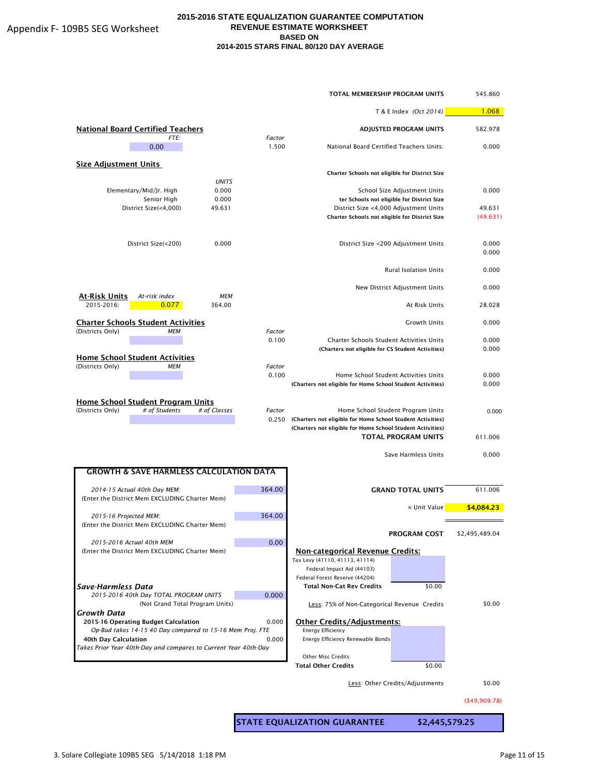|                                                                                         |                       |        | TOTAL MEMBERSHIP PROGRAM UNITS                                                                                           |                                            | 545.860        |
|-----------------------------------------------------------------------------------------|-----------------------|--------|--------------------------------------------------------------------------------------------------------------------------|--------------------------------------------|----------------|
|                                                                                         |                       |        |                                                                                                                          | T & E Index (Oct 2014)                     | 1.068          |
| <b>National Board Certified Teachers</b><br>FTE:                                        |                       | Factor |                                                                                                                          | <b>ADJUSTED PROGRAM UNITS</b>              | 582.978        |
| 0.00                                                                                    |                       | 1.500  | National Board Certified Teachers Units:                                                                                 |                                            | 0.000          |
| <b>Size Adjustment Units</b>                                                            |                       |        | Charter Schools not eligible for District Size                                                                           |                                            |                |
| Elementary/Mid/Jr. High                                                                 | <b>UNITS</b><br>0.000 |        |                                                                                                                          | School Size Adjustment Units               | 0.000          |
| Senior High                                                                             | 0.000                 |        |                                                                                                                          | ter Schools not eligible for District Size |                |
| District Size(<4,000)                                                                   | 49.631                |        |                                                                                                                          | District Size <4,000 Adjustment Units      | 49.631         |
|                                                                                         |                       |        | Charter Schools not eligible for District Size                                                                           |                                            | (49.631)       |
| District Size(<200)                                                                     | 0.000                 |        |                                                                                                                          | District Size <200 Adjustment Units        | 0.000<br>0.000 |
|                                                                                         |                       |        |                                                                                                                          | <b>Rural Isolation Units</b>               | 0.000          |
| At-Risk Units<br>At-risk index                                                          | <b>MEM</b>            |        |                                                                                                                          | New District Adjustment Units              | 0.000          |
| 2015-2016:<br>0.077                                                                     | 364.00                |        |                                                                                                                          | At Risk Units                              | 28.028         |
| <b>Charter Schools Student Activities</b><br>(Districts Only)<br><b>MEM</b>             |                       | Factor |                                                                                                                          | <b>Growth Units</b>                        | 0.000          |
|                                                                                         |                       | 0.100  | Charter Schools Student Activities Units<br>(Charters not eligible for CS Student Activities)                            |                                            | 0.000<br>0.000 |
| <b>Home School Student Activities</b>                                                   |                       |        |                                                                                                                          |                                            |                |
| (Districts Only)<br><b>MEM</b>                                                          |                       | Factor |                                                                                                                          |                                            |                |
|                                                                                         |                       | 0.100  | (Charters not eligible for Home School Student Activities)                                                               | Home School Student Activities Units       | 0.000<br>0.000 |
| Home School Student Program Units                                                       |                       |        |                                                                                                                          |                                            |                |
| (Districts Only)<br># of Students                                                       | # of Classes          | Factor |                                                                                                                          | Home School Student Program Units          | 0.000          |
|                                                                                         |                       | 0.250  | (Charters not eligible for Home School Student Activities)<br>(Charters not eligible for Home School Student Activities) |                                            |                |
|                                                                                         |                       |        |                                                                                                                          | <b>TOTAL PROGRAM UNITS</b>                 | 611.006        |
|                                                                                         |                       |        |                                                                                                                          | Save Harmless Units                        | 0.000          |
| <b>GROWTH &amp; SAVE HARMLESS CALCULATION DATA</b>                                      |                       |        |                                                                                                                          |                                            |                |
| 2014-15 Actual 40th Day MEM:<br>(Enter the District Mem EXCLUDING Charter Mem)          |                       | 364.00 |                                                                                                                          | <b>GRAND TOTAL UNITS</b>                   | 611.006        |
| 2015-16 Projected MEM:                                                                  |                       | 364.00 |                                                                                                                          | x Unit Value                               | \$4,084.23     |
| (Enter the District Mem EXCLUDING Charter Mem)                                          |                       |        |                                                                                                                          | PROGRAM COST                               | \$2,495,489.04 |
| 2015-2016 Actual 40th MEM                                                               |                       | 0.00   |                                                                                                                          |                                            |                |
| (Enter the District Mem EXCLUDING Charter Mem)                                          |                       |        | <b>Non-categorical Revenue Credits:</b>                                                                                  |                                            |                |
|                                                                                         |                       |        | Tax Levy (41110, 41113, 41114)                                                                                           |                                            |                |
|                                                                                         |                       |        | Federal Impact Aid (44103)<br>Federal Forest Reserve (44204)                                                             |                                            |                |
| Save-Harmless Data                                                                      |                       |        | <b>Total Non-Cat Rev Credits</b>                                                                                         | \$0.00                                     |                |
| 2015-2016 40th Day TOTAL PROGRAM UNITS<br>(Not Grand Total Program Units)               |                       | 0.000  | Less: 75% of Non-Categorical Revenue Credits                                                                             |                                            | \$0.00         |
| Growth Data<br>2015-16 Operating Budget Calculation                                     |                       | 0.000  | <b>Other Credits/Adjustments:</b>                                                                                        |                                            |                |
| Op-Bud takes 14-15 40 Day compared to 15-16 Mem Proj. FTE                               |                       |        | <b>Energy Efficiency</b>                                                                                                 |                                            |                |
| 40th Day Calculation<br>Takes Prior Year 40th-Day and compares to Current Year 40th-Day |                       | 0.000  | Energy Efficiency Renewable Bonds                                                                                        |                                            |                |
|                                                                                         |                       |        | <b>Other Misc Credits</b>                                                                                                |                                            |                |
|                                                                                         |                       |        | <b>Total Other Credits</b>                                                                                               | \$0.00                                     |                |
|                                                                                         |                       |        |                                                                                                                          | Less: Other Credits/Adjustments            | \$0.00         |
|                                                                                         |                       |        |                                                                                                                          |                                            |                |

(\$49,909.78)

STATE EQUALIZATION GUARANTEE \$2,445,579.25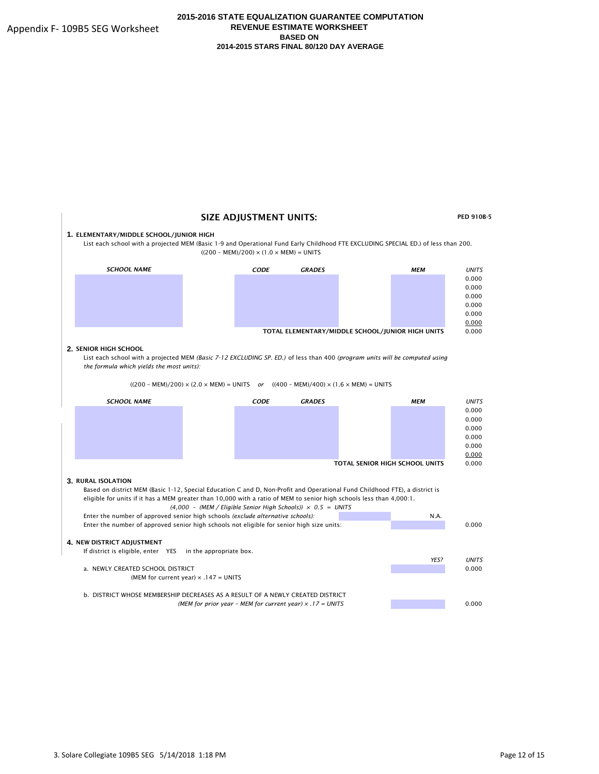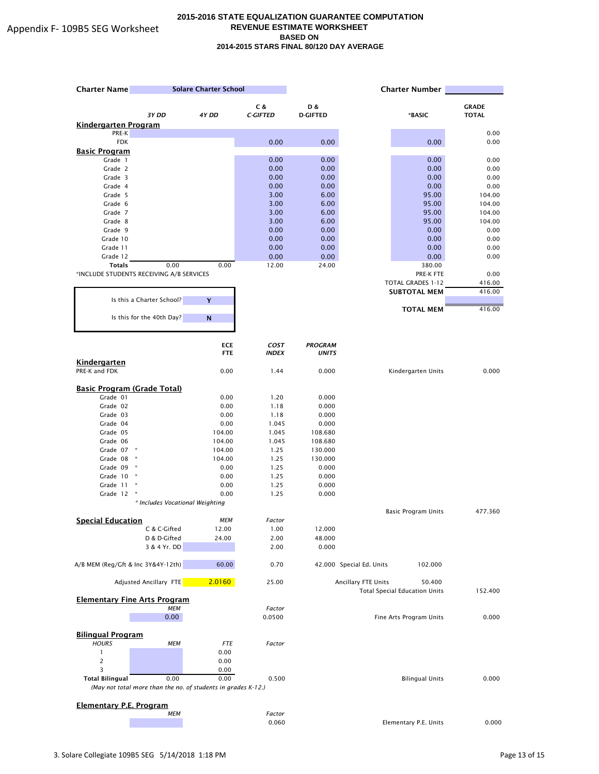| <b>Charter Name</b>                | <b>Solare Charter School</b>                                  |                  | <b>Charter Number</b> |                    |                          |                                      |              |
|------------------------------------|---------------------------------------------------------------|------------------|-----------------------|--------------------|--------------------------|--------------------------------------|--------------|
|                                    |                                                               |                  | C &                   | D &                |                          |                                      | <b>GRADE</b> |
|                                    | 3Y DD                                                         | 4Y DD            | <b>C-GIFTED</b>       | <b>D-GIFTED</b>    |                          | *BASIC                               | <b>TOTAL</b> |
| <b>Kindergarten Program</b>        |                                                               |                  |                       |                    |                          |                                      |              |
| PRE-K                              |                                                               |                  |                       |                    |                          |                                      | 0.00         |
| <b>FDK</b><br><b>Basic Program</b> |                                                               |                  | 0.00                  | 0.00               |                          | 0.00                                 | 0.00         |
| Grade 1                            |                                                               |                  | 0.00                  | 0.00               |                          | 0.00                                 | 0.00         |
| Grade 2                            |                                                               |                  | 0.00                  | 0.00               |                          | 0.00                                 | 0.00         |
| Grade 3                            |                                                               |                  | 0.00                  | 0.00               |                          | 0.00                                 | 0.00         |
| Grade 4                            |                                                               |                  | 0.00                  | 0.00               |                          | 0.00                                 | 0.00         |
| Grade 5                            |                                                               |                  | 3.00                  | 6.00               |                          | 95.00                                | 104.00       |
| Grade 6                            |                                                               |                  | 3.00                  | 6.00               |                          | 95.00                                | 104.00       |
| Grade 7                            |                                                               |                  | 3.00                  | 6.00               |                          | 95.00                                | 104.00       |
| Grade 8                            |                                                               |                  | 3.00                  | 6.00               |                          | 95.00                                | 104.00       |
| Grade 9                            |                                                               |                  | 0.00                  | 0.00               |                          | 0.00                                 | 0.00         |
| Grade 10<br>Grade 11               |                                                               |                  | 0.00<br>0.00          | 0.00<br>0.00       |                          | 0.00<br>0.00                         | 0.00<br>0.00 |
| Grade 12                           |                                                               |                  | 0.00                  | 0.00               |                          | 0.00                                 | 0.00         |
| <b>Totals</b>                      | 0.00                                                          | 0.00             | 12.00                 | 24.00              |                          | 380.00                               |              |
|                                    | *INCLUDE STUDENTS RECEIVING A/B SERVICES                      |                  |                       |                    |                          | PRE-K FTE                            | 0.00         |
|                                    |                                                               |                  |                       |                    |                          | TOTAL GRADES 1-12                    | 416.00       |
|                                    |                                                               |                  |                       |                    |                          | <b>SUBTOTAL MEM</b>                  | 416.00       |
|                                    | Is this a Charter School?                                     | Y                |                       |                    |                          |                                      |              |
|                                    |                                                               |                  |                       |                    |                          | <b>TOTAL MEM</b>                     | 416.00       |
|                                    | Is this for the 40th Day?                                     | $\mathsf{N}$     |                       |                    |                          |                                      |              |
|                                    |                                                               |                  |                       |                    |                          |                                      |              |
|                                    |                                                               | <b>ECE</b>       | <b>COST</b>           | <b>PROGRAM</b>     |                          |                                      |              |
|                                    |                                                               | <b>FTE</b>       | <b>INDEX</b>          | <b>UNITS</b>       |                          |                                      |              |
| Kindergarten                       |                                                               |                  |                       |                    |                          |                                      |              |
| PRE-K and FDK                      |                                                               | 0.00             | 1.44                  | 0.000              |                          | Kindergarten Units                   | 0.000        |
|                                    |                                                               |                  |                       |                    |                          |                                      |              |
| <b>Basic Program (Grade Total)</b> |                                                               |                  |                       |                    |                          |                                      |              |
| Grade 01                           |                                                               | 0.00             | 1.20                  | 0.000              |                          |                                      |              |
| Grade 02                           |                                                               | 0.00             | 1.18                  | 0.000              |                          |                                      |              |
| Grade 03                           |                                                               | 0.00             | 1.18                  | 0.000              |                          |                                      |              |
| Grade 04                           |                                                               | 0.00             | 1.045                 | 0.000              |                          |                                      |              |
| Grade 05                           |                                                               | 104.00           | 1.045                 | 108.680            |                          |                                      |              |
| Grade 06<br>Grade 07 *             |                                                               | 104.00<br>104.00 | 1.045<br>1.25         | 108.680<br>130.000 |                          |                                      |              |
| Grade 08                           | $\star$                                                       | 104.00           | 1.25                  | 130.000            |                          |                                      |              |
| Grade 09 *                         |                                                               | 0.00             | 1.25                  | 0.000              |                          |                                      |              |
| Grade 10                           |                                                               | 0.00             | 1.25                  | 0.000              |                          |                                      |              |
| Grade 11                           | ×                                                             | 0.00             | 1.25                  | 0.000              |                          |                                      |              |
| Grade 12                           |                                                               | 0.00             | 1.25                  | 0.000              |                          |                                      |              |
|                                    | * Includes Vocational Weighting                               |                  |                       |                    |                          |                                      |              |
|                                    |                                                               |                  |                       |                    |                          | Basic Program Units                  | 477.360      |
| <b>Special Education</b>           |                                                               | <b>MEM</b>       | Factor                |                    |                          |                                      |              |
|                                    | C & C-Gifted                                                  | 12.00            | 1.00                  | 12.000             |                          |                                      |              |
|                                    | D & D-Gifted                                                  | 24.00            | 2.00                  | 48.000             |                          |                                      |              |
|                                    | 3 & 4 Yr. DD                                                  |                  | 2.00                  | 0.000              |                          |                                      |              |
| A/B MEM (Reg/Gft & Inc 3Y&4Y-12th) |                                                               | 60.00            | 0.70                  |                    | 42.000 Special Ed. Units | 102.000                              |              |
|                                    |                                                               |                  |                       |                    |                          |                                      |              |
|                                    | Adjusted Ancillary FTE                                        | 2.0160           | 25.00                 |                    | Ancillary FTE Units      | 50.400                               |              |
|                                    |                                                               |                  |                       |                    |                          | <b>Total Special Education Units</b> | 152.400      |
|                                    | <b>Elementary Fine Arts Program</b>                           |                  |                       |                    |                          |                                      |              |
|                                    | <b>MEM</b>                                                    |                  | Factor                |                    |                          |                                      |              |
|                                    | 0.00                                                          |                  | 0.0500                |                    |                          | Fine Arts Program Units              | 0.000        |
| <b>Bilingual Program</b>           |                                                               |                  |                       |                    |                          |                                      |              |
| <b>HOURS</b>                       | МЕМ                                                           | <b>FTE</b>       | Factor                |                    |                          |                                      |              |
| $\mathbf{1}$                       |                                                               | 0.00             |                       |                    |                          |                                      |              |
| 2                                  |                                                               | 0.00             |                       |                    |                          |                                      |              |
| 3                                  |                                                               | 0.00             |                       |                    |                          |                                      |              |
| <b>Total Bilingual</b>             | 0.00                                                          | 0.00             | 0.500                 |                    |                          | <b>Bilingual Units</b>               | 0.000        |
|                                    | (May not total more than the no. of students in grades K-12.) |                  |                       |                    |                          |                                      |              |
|                                    |                                                               |                  |                       |                    |                          |                                      |              |
| <b>Elementary P.E. Program</b>     |                                                               |                  |                       |                    |                          |                                      |              |
|                                    | <b>MEM</b>                                                    |                  | Factor                |                    |                          |                                      |              |
|                                    |                                                               |                  | 0.060                 |                    |                          | Elementary P.E. Units                | 0.000        |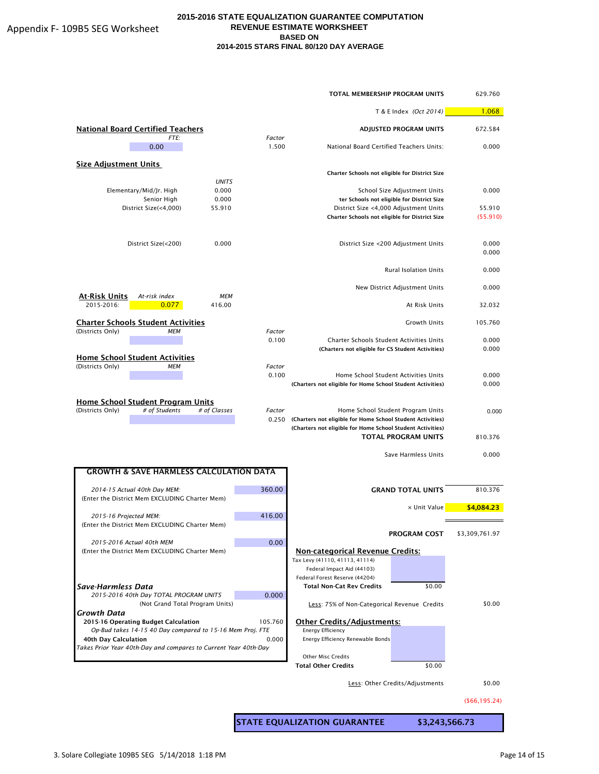|                                                                                        |                 | TOTAL MEMBERSHIP PROGRAM UNITS                                |                                                                            | 629.760        |
|----------------------------------------------------------------------------------------|-----------------|---------------------------------------------------------------|----------------------------------------------------------------------------|----------------|
|                                                                                        |                 |                                                               | T & E Index (Oct 2014)                                                     |                |
| <b>National Board Certified Teachers</b><br>FTE:                                       | Factor          |                                                               | <b>ADJUSTED PROGRAM UNITS</b>                                              | 672.584        |
| 0.00                                                                                   | 1.500           | National Board Certified Teachers Units:                      |                                                                            | 0.000          |
| <b>Size Adjustment Units</b>                                                           |                 | Charter Schools not eligible for District Size                |                                                                            |                |
|                                                                                        | <b>UNITS</b>    |                                                               |                                                                            |                |
| Elementary/Mid/Jr. High<br>Senior High                                                 | 0.000<br>0.000  |                                                               | School Size Adjustment Units<br>ter Schools not eligible for District Size | 0.000          |
| District Size(<4,000)<br>55.910                                                        |                 | District Size <4,000 Adjustment Units                         |                                                                            | 55.910         |
|                                                                                        |                 | Charter Schools not eligible for District Size                |                                                                            | (55.910)       |
| District Size(<200)                                                                    | 0.000           |                                                               | District Size <200 Adjustment Units                                        | 0.000<br>0.000 |
|                                                                                        |                 |                                                               | <b>Rural Isolation Units</b>                                               | 0.000          |
|                                                                                        |                 |                                                               | New District Adjustment Units                                              | 0.000          |
| At-Risk Units<br>At-risk index<br>2015-2016:<br>0.077<br>416.00                        | MEM             |                                                               | At Risk Units                                                              | 32.032         |
| <b>Charter Schools Student Activities</b>                                              |                 |                                                               | <b>Growth Units</b>                                                        | 105.760        |
| (Districts Only)<br>MEM                                                                | Factor<br>0.100 | <b>Charter Schools Student Activities Units</b>               |                                                                            | 0.000          |
|                                                                                        |                 | (Charters not eligible for CS Student Activities)             |                                                                            | 0.000          |
| <b>Home School Student Activities</b>                                                  |                 |                                                               |                                                                            |                |
| (Districts Only)<br>МЕМ                                                                | Factor<br>0.100 |                                                               | Home School Student Activities Units                                       | 0.000          |
|                                                                                        |                 | (Charters not eligible for Home School Student Activities)    |                                                                            | 0.000          |
|                                                                                        |                 |                                                               |                                                                            |                |
| Home School Student Program Units<br>(Districts Only)<br># of Students<br># of Classes | Factor          |                                                               | Home School Student Program Units                                          | 0.000          |
|                                                                                        | 0.250           | (Charters not eligible for Home School Student Activities)    |                                                                            |                |
|                                                                                        |                 | (Charters not eligible for Home School Student Activities)    |                                                                            |                |
|                                                                                        |                 |                                                               | <b>TOTAL PROGRAM UNITS</b>                                                 | 810.376        |
|                                                                                        |                 |                                                               | Save Harmless Units                                                        | 0.000          |
| <b>GROWTH &amp; SAVE HARMLESS CALCULATION DATA</b>                                     |                 |                                                               |                                                                            |                |
| 2014-15 Actual 40th Day MEM:                                                           | 360.00          |                                                               | <b>GRAND TOTAL UNITS</b>                                                   | 810.376        |
| (Enter the District Mem EXCLUDING Charter Mem)                                         |                 |                                                               | x Unit Value                                                               | \$4,084.23     |
| 2015-16 Projected MEM:                                                                 | 416.00          |                                                               |                                                                            |                |
| (Enter the District Mem EXCLUDING Charter Mem)                                         |                 |                                                               | PROGRAM COST                                                               | \$3,309,761.97 |
| 2015-2016 Actual 40th MEM                                                              | 0.00            |                                                               |                                                                            |                |
| (Enter the District Mem EXCLUDING Charter Mem)                                         |                 | <b>Non-categorical Revenue Credits:</b>                       |                                                                            |                |
|                                                                                        |                 | Tax Levy (41110, 41113, 41114)<br>Federal Impact Aid (44103)  |                                                                            |                |
|                                                                                        |                 | Federal Forest Reserve (44204)                                |                                                                            |                |
| Save-Harmless Data                                                                     |                 | <b>Total Non-Cat Rev Credits</b>                              | \$0.00                                                                     |                |
| 2015-2016 40th Day TOTAL PROGRAM UNITS<br>(Not Grand Total Program Units)              | 0.000           | Less: 75% of Non-Categorical Revenue Credits                  |                                                                            | \$0.00         |
| Growth Data                                                                            |                 |                                                               |                                                                            |                |
| 2015-16 Operating Budget Calculation                                                   | 105.760         | <b>Other Credits/Adjustments:</b>                             |                                                                            |                |
| Op-Bud takes 14-15 40 Day compared to 15-16 Mem Proj. FTE<br>40th Day Calculation      | 0.000           | <b>Energy Efficiency</b><br>Energy Efficiency Renewable Bonds |                                                                            |                |
| Takes Prior Year 40th-Day and compares to Current Year 40th-Day                        |                 |                                                               |                                                                            |                |
|                                                                                        |                 | <b>Other Misc Credits</b>                                     |                                                                            |                |
|                                                                                        |                 | <b>Total Other Credits</b>                                    | \$0.00                                                                     |                |
|                                                                                        |                 |                                                               | Less: Other Credits/Adjustments                                            | \$0.00         |

(\$66,195.24)

STATE EQUALIZATION GUARANTEE \$3,243,566.73